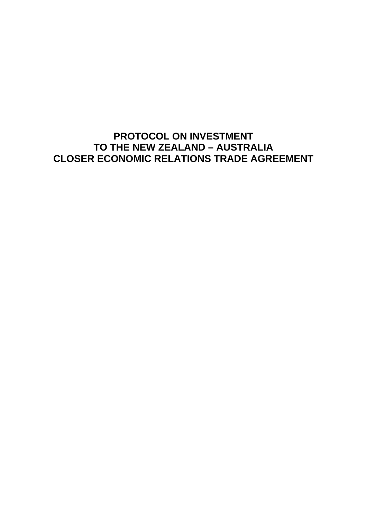**PROTOCOL ON INVESTMENT TO THE NEW ZEALAND – AUSTRALIA CLOSER ECONOMIC RELATIONS TRADE AGREEMENT**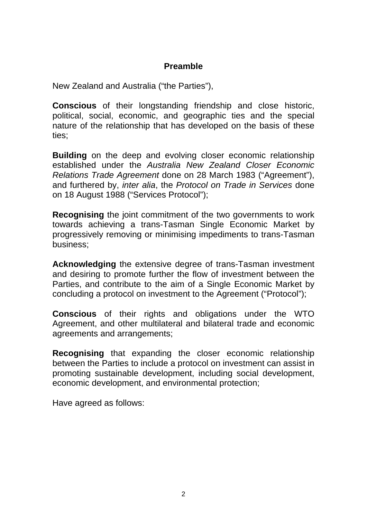# **Preamble**

New Zealand and Australia ("the Parties"),

**Conscious** of their longstanding friendship and close historic, political, social, economic, and geographic ties and the special nature of the relationship that has developed on the basis of these ties;

**Building** on the deep and evolving closer economic relationship established under the *Australia New Zealand Closer Economic Relations Trade Agreement* done on 28 March 1983 ("Agreement"), and furthered by, *inter alia*, the *Protocol on Trade in Services* done on 18 August 1988 ("Services Protocol");

**Recognising** the joint commitment of the two governments to work towards achieving a trans-Tasman Single Economic Market by progressively removing or minimising impediments to trans-Tasman business;

**Acknowledging** the extensive degree of trans-Tasman investment and desiring to promote further the flow of investment between the Parties, and contribute to the aim of a Single Economic Market by concluding a protocol on investment to the Agreement ("Protocol");

**Conscious** of their rights and obligations under the WTO Agreement, and other multilateral and bilateral trade and economic agreements and arrangements;

**Recognising** that expanding the closer economic relationship between the Parties to include a protocol on investment can assist in promoting sustainable development, including social development, economic development, and environmental protection;

Have agreed as follows: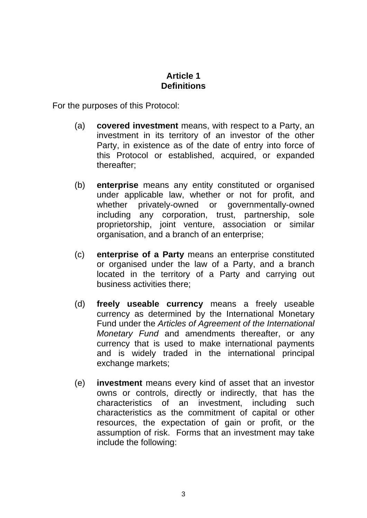## **Article 1 Definitions**

For the purposes of this Protocol:

- (a) **covered investment** means, with respect to a Party, an investment in its territory of an investor of the other Party, in existence as of the date of entry into force of this Protocol or established, acquired, or expanded thereafter;
- (b) **enterprise** means any entity constituted or organised under applicable law, whether or not for profit, and whether privately-owned or governmentally-owned including any corporation, trust, partnership, sole proprietorship, joint venture, association or similar organisation, and a branch of an enterprise;
- (c) **enterprise of a Party** means an enterprise constituted or organised under the law of a Party, and a branch located in the territory of a Party and carrying out business activities there;
- (d) **freely useable currency** means a freely useable currency as determined by the International Monetary Fund under the *Articles of Agreement of the International Monetary Fund* and amendments thereafter, or any currency that is used to make international payments and is widely traded in the international principal exchange markets;
- (e) **investment** means every kind of asset that an investor owns or controls, directly or indirectly, that has the characteristics of an investment, including such characteristics as the commitment of capital or other resources, the expectation of gain or profit, or the assumption of risk. Forms that an investment may take include the following: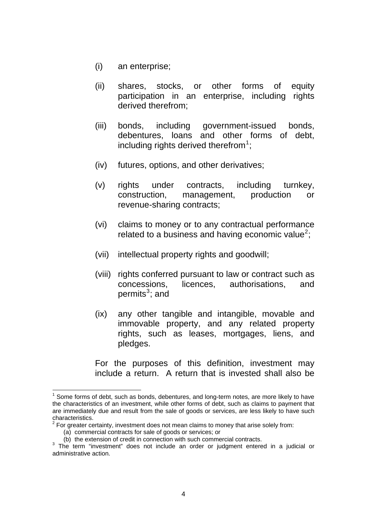- (i) an enterprise;
- (ii) shares, stocks, or other forms of equity participation in an enterprise, including rights derived therefrom;
- (iii) bonds, including government-issued bonds, debentures, loans and other forms of debt, including rights derived therefrom $1$ ;
- (iv) futures, options, and other derivatives;
- (v) rights under contracts, including turnkey, construction, management, production or revenue-sharing contracts;
- (vi) claims to money or to any contractual performance related to a business and having economic value<sup>[2](#page-3-1)</sup>;
- (vii) intellectual property rights and goodwill;
- (viii) rights conferred pursuant to law or contract such as concessions, licences, authorisations, and permits<sup>[3](#page-3-2)</sup>; and
- (ix) any other tangible and intangible, movable and immovable property, and any related property rights, such as leases, mortgages, liens, and pledges.

For the purposes of this definition, investment may include a return. A return that is invested shall also be

 $\overline{a}$ 

<span id="page-3-0"></span> $1$  Some forms of debt, such as bonds, debentures, and long-term notes, are more likely to have the characteristics of an investment, while other forms of debt, such as claims to payment that are immediately due and result from the sale of goods or services, are less likely to have such

<span id="page-3-1"></span>characteristics.<br><sup>2</sup> For greater certainty, investment does not mean claims to money that arise solely from:

<sup>(</sup>a) commercial contracts for sale of goods or services; or

<sup>(</sup>b) the extension of credit in connection with such commercial contracts.

<span id="page-3-2"></span> $3$  The term "investment" does not include an order or judgment entered in a judicial or administrative action.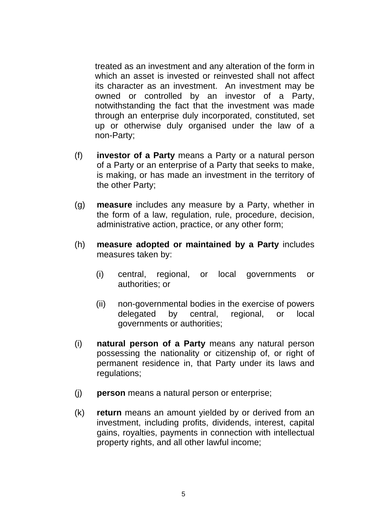treated as an investment and any alteration of the form in which an asset is invested or reinvested shall not affect its character as an investment. An investment may be owned or controlled by an investor of a Party, notwithstanding the fact that the investment was made through an enterprise duly incorporated, constituted, set up or otherwise duly organised under the law of a non-Party;

- (f) **investor of a Party** means a Party or a natural person of a Party or an enterprise of a Party that seeks to make, is making, or has made an investment in the territory of the other Party;
- (g) **measure** includes any measure by a Party, whether in the form of a law, regulation, rule, procedure, decision, administrative action, practice, or any other form;
- (h) **measure adopted or maintained by a Party** includes measures taken by:
	- (i) central, regional, or local governments or authorities; or
	- (ii) non-governmental bodies in the exercise of powers delegated by central, regional, or local governments or authorities;
- (i) **natural person of a Party** means any natural person possessing the nationality or citizenship of, or right of permanent residence in, that Party under its laws and regulations:
- (j) **person** means a natural person or enterprise;
- (k) **return** means an amount yielded by or derived from an investment, including profits, dividends, interest, capital gains, royalties, payments in connection with intellectual property rights, and all other lawful income;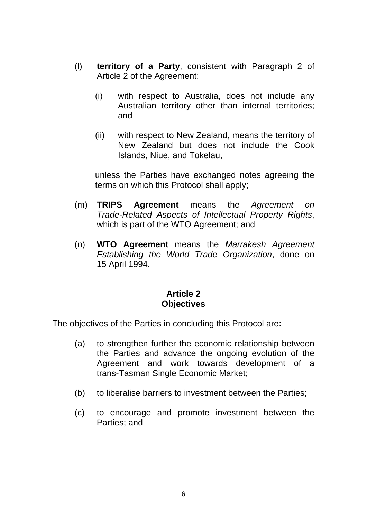- (l) **territory of a Party**, consistent with Paragraph 2 of Article 2 of the Agreement:
	- (i) with respect to Australia, does not include any Australian territory other than internal territories; and
	- (ii) with respect to New Zealand, means the territory of New Zealand but does not include the Cook Islands, Niue, and Tokelau,

unless the Parties have exchanged notes agreeing the terms on which this Protocol shall apply;

- (m) **TRIPS Agreement** means the *Agreement on Trade-Related Aspects of Intellectual Property Rights*, which is part of the WTO Agreement; and
- (n) **WTO Agreement** means the *Marrakesh Agreement Establishing the World Trade Organization*, done on 15 April 1994.

## **Article 2 Objectives**

The objectives of the Parties in concluding this Protocol are**:**

- (a) to strengthen further the economic relationship between the Parties and advance the ongoing evolution of the Agreement and work towards development of a trans-Tasman Single Economic Market;
- (b) to liberalise barriers to investment between the Parties;
- (c) to encourage and promote investment between the Parties; and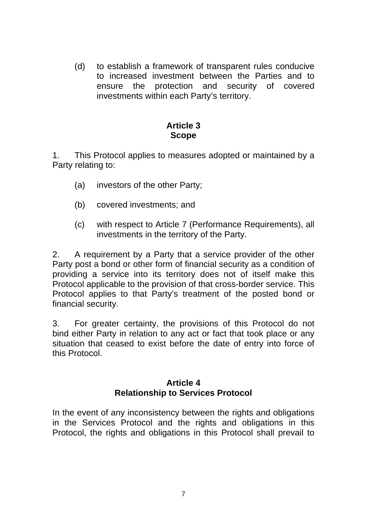(d) to establish a framework of transparent rules conducive to increased investment between the Parties and to ensure the protection and security of covered investments within each Party's territory.

## **Article 3 Scope**

1. This Protocol applies to measures adopted or maintained by a Party relating to:

- (a) investors of the other Party;
- (b) covered investments; and
- (c) with respect to Article 7 (Performance Requirements), all investments in the territory of the Party.

2. A requirement by a Party that a service provider of the other Party post a bond or other form of financial security as a condition of providing a service into its territory does not of itself make this Protocol applicable to the provision of that cross-border service. This Protocol applies to that Party's treatment of the posted bond or financial security.

3. For greater certainty, the provisions of this Protocol do not bind either Party in relation to any act or fact that took place or any situation that ceased to exist before the date of entry into force of this Protocol.

### **Article 4 Relationship to Services Protocol**

In the event of any inconsistency between the rights and obligations in the Services Protocol and the rights and obligations in this Protocol, the rights and obligations in this Protocol shall prevail to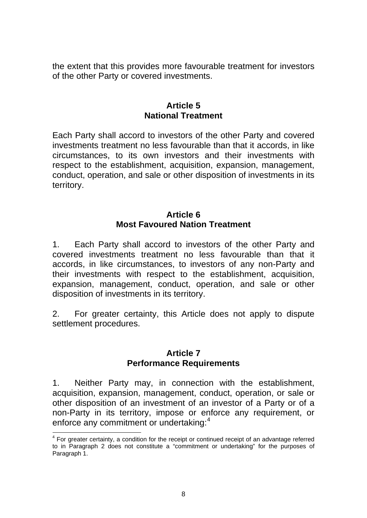the extent that this provides more favourable treatment for investors of the other Party or covered investments.

### **Article 5 National Treatment**

Each Party shall accord to investors of the other Party and covered investments treatment no less favourable than that it accords, in like circumstances, to its own investors and their investments with respect to the establishment, acquisition, expansion, management, conduct, operation, and sale or other disposition of investments in its territory.

### **Article 6 Most Favoured Nation Treatment**

1. Each Party shall accord to investors of the other Party and covered investments treatment no less favourable than that it accords, in like circumstances, to investors of any non-Party and their investments with respect to the establishment, acquisition, expansion, management, conduct, operation, and sale or other disposition of investments in its territory.

2. For greater certainty, this Article does not apply to dispute settlement procedures.

## **Article 7 Performance Requirements**

1. Neither Party may, in connection with the establishment, acquisition, expansion, management, conduct, operation, or sale or other disposition of an investment of an investor of a Party or of a non-Party in its territory, impose or enforce any requirement, or enforce any commitment or undertaking:<sup>[4](#page-7-0)</sup>

<span id="page-7-0"></span> $\overline{\phantom{a}}$  $4$  For greater certainty, a condition for the receipt or continued receipt of an advantage referred to in Paragraph 2 does not constitute a "commitment or undertaking" for the purposes of Paragraph 1.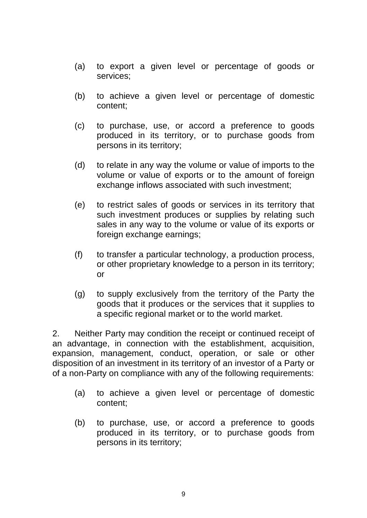- (a) to export a given level or percentage of goods or services;
- (b) to achieve a given level or percentage of domestic content;
- (c) to purchase, use, or accord a preference to goods produced in its territory, or to purchase goods from persons in its territory;
- (d) to relate in any way the volume or value of imports to the volume or value of exports or to the amount of foreign exchange inflows associated with such investment;
- (e) to restrict sales of goods or services in its territory that such investment produces or supplies by relating such sales in any way to the volume or value of its exports or foreign exchange earnings;
- (f) to transfer a particular technology, a production process, or other proprietary knowledge to a person in its territory; or
- (g) to supply exclusively from the territory of the Party the goods that it produces or the services that it supplies to a specific regional market or to the world market.

2. Neither Party may condition the receipt or continued receipt of an advantage, in connection with the establishment, acquisition, expansion, management, conduct, operation, or sale or other disposition of an investment in its territory of an investor of a Party or of a non-Party on compliance with any of the following requirements:

- (a) to achieve a given level or percentage of domestic content;
- (b) to purchase, use, or accord a preference to goods produced in its territory, or to purchase goods from persons in its territory;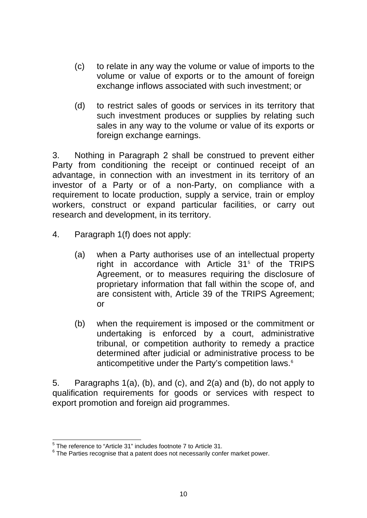- (c) to relate in any way the volume or value of imports to the volume or value of exports or to the amount of foreign exchange inflows associated with such investment; or
- (d) to restrict sales of goods or services in its territory that such investment produces or supplies by relating such sales in any way to the volume or value of its exports or foreign exchange earnings.

3. Nothing in Paragraph 2 shall be construed to prevent either Party from conditioning the receipt or continued receipt of an advantage, in connection with an investment in its territory of an investor of a Party or of a non-Party, on compliance with a requirement to locate production, supply a service, train or employ workers, construct or expand particular facilities, or carry out research and development, in its territory.

- 4. Paragraph 1(f) does not apply:
	- (a) when a Party authorises use of an intellectual property right in accordance with Article  $31<sup>5</sup>$  $31<sup>5</sup>$  $31<sup>5</sup>$  of the TRIPS Agreement, or to measures requiring the disclosure of proprietary information that fall within the scope of, and are consistent with, Article 39 of the TRIPS Agreement; or
	- (b) when the requirement is imposed or the commitment or undertaking is enforced by a court, administrative tribunal, or competition authority to remedy a practice determined after judicial or administrative process to be anticompetitive under the Party's competition laws.<sup>[6](#page-9-1)</sup>

5. Paragraphs 1(a), (b), and (c), and 2(a) and (b), do not apply to qualification requirements for goods or services with respect to export promotion and foreign aid programmes.

<sup>1</sup> <sup>5</sup> The reference to "Article 31" includes footnote 7 to Article 31.

<span id="page-9-1"></span><span id="page-9-0"></span> $6$  The Parties recognise that a patent does not necessarily confer market power.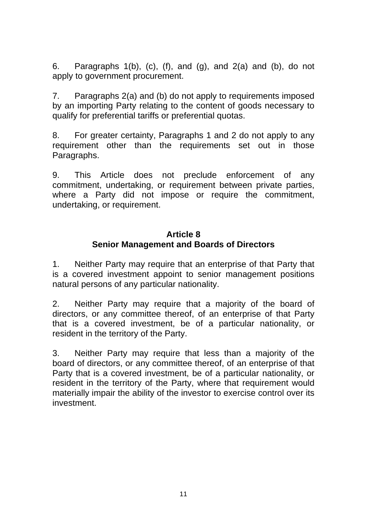6. Paragraphs  $1(b)$ ,  $(c)$ ,  $(f)$ , and  $(g)$ , and  $2(a)$  and  $(b)$ , do not apply to government procurement.

7. Paragraphs 2(a) and (b) do not apply to requirements imposed by an importing Party relating to the content of goods necessary to qualify for preferential tariffs or preferential quotas.

8. For greater certainty, Paragraphs 1 and 2 do not apply to any requirement other than the requirements set out in those Paragraphs.

9. This Article does not preclude enforcement of any commitment, undertaking, or requirement between private parties, where a Party did not impose or require the commitment, undertaking, or requirement.

## **Article 8 Senior Management and Boards of Directors**

1. Neither Party may require that an enterprise of that Party that is a covered investment appoint to senior management positions natural persons of any particular nationality.

2. Neither Party may require that a majority of the board of directors, or any committee thereof, of an enterprise of that Party that is a covered investment, be of a particular nationality, or resident in the territory of the Party.

3. Neither Party may require that less than a majority of the board of directors, or any committee thereof, of an enterprise of that Party that is a covered investment, be of a particular nationality, or resident in the territory of the Party, where that requirement would materially impair the ability of the investor to exercise control over its investment.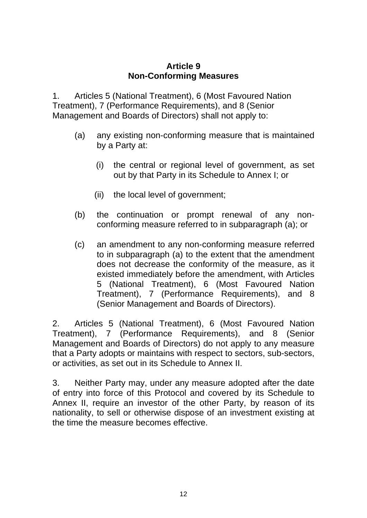### **Article 9 Non-Conforming Measures**

1. Articles 5 (National Treatment), 6 (Most Favoured Nation Treatment), 7 (Performance Requirements), and 8 (Senior Management and Boards of Directors) shall not apply to:

- (a) any existing non-conforming measure that is maintained by a Party at:
	- (i) the central or regional level of government, as set out by that Party in its Schedule to Annex I; or
	- (ii) the local level of government;
- (b) the continuation or prompt renewal of any nonconforming measure referred to in subparagraph (a); or
- (c) an amendment to any non-conforming measure referred to in subparagraph (a) to the extent that the amendment does not decrease the conformity of the measure, as it existed immediately before the amendment, with Articles 5 (National Treatment), 6 (Most Favoured Nation Treatment), 7 (Performance Requirements), and 8 (Senior Management and Boards of Directors).

2. Articles 5 (National Treatment), 6 (Most Favoured Nation Treatment), 7 (Performance Requirements), and 8 (Senior Management and Boards of Directors) do not apply to any measure that a Party adopts or maintains with respect to sectors, sub-sectors, or activities, as set out in its Schedule to Annex II.

3. Neither Party may, under any measure adopted after the date of entry into force of this Protocol and covered by its Schedule to Annex II, require an investor of the other Party, by reason of its nationality, to sell or otherwise dispose of an investment existing at the time the measure becomes effective.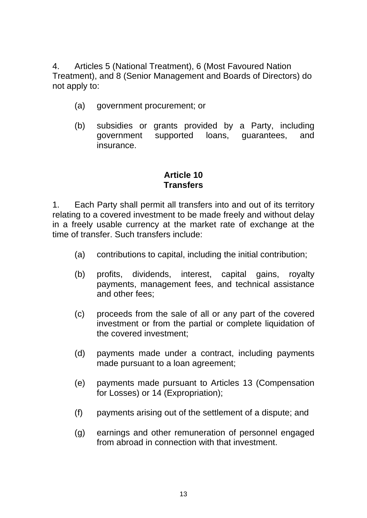4. Articles 5 (National Treatment), 6 (Most Favoured Nation Treatment), and 8 (Senior Management and Boards of Directors) do not apply to:

- (a) government procurement; or
- (b) subsidies or grants provided by a Party, including government supported loans, guarantees, and insurance.

## **Article 10 Transfers**

1. Each Party shall permit all transfers into and out of its territory relating to a covered investment to be made freely and without delay in a freely usable currency at the market rate of exchange at the time of transfer. Such transfers include:

- (a) contributions to capital, including the initial contribution;
- (b) profits, dividends, interest, capital gains, royalty payments, management fees, and technical assistance and other fees;
- (c) proceeds from the sale of all or any part of the covered investment or from the partial or complete liquidation of the covered investment;
- (d) payments made under a contract, including payments made pursuant to a loan agreement;
- (e) payments made pursuant to Articles 13 (Compensation for Losses) or 14 (Expropriation);
- (f) payments arising out of the settlement of a dispute; and
- (g) earnings and other remuneration of personnel engaged from abroad in connection with that investment.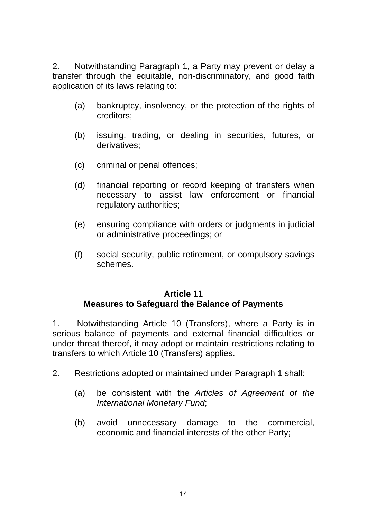2. Notwithstanding Paragraph 1, a Party may prevent or delay a transfer through the equitable, non-discriminatory, and good faith application of its laws relating to:

- (a) bankruptcy, insolvency, or the protection of the rights of creditors;
- (b) issuing, trading, or dealing in securities, futures, or derivatives;
- (c) criminal or penal offences;
- (d) financial reporting or record keeping of transfers when necessary to assist law enforcement or financial regulatory authorities;
- (e) ensuring compliance with orders or judgments in judicial or administrative proceedings; or
- (f) social security, public retirement, or compulsory savings schemes.

## **Article 11 Measures to Safeguard the Balance of Payments**

1. Notwithstanding Article 10 (Transfers), where a Party is in serious balance of payments and external financial difficulties or under threat thereof, it may adopt or maintain restrictions relating to transfers to which Article 10 (Transfers) applies.

- 2. Restrictions adopted or maintained under Paragraph 1 shall:
	- (a) be consistent with the *Articles of Agreement of the International Monetary Fund*;
	- (b) avoid unnecessary damage to the commercial, economic and financial interests of the other Party;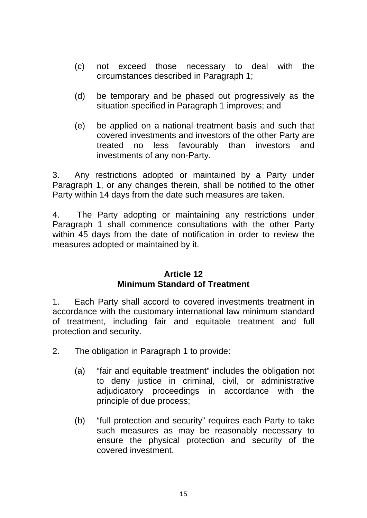- (c) not exceed those necessary to deal with the circumstances described in Paragraph 1;
- (d) be temporary and be phased out progressively as the situation specified in Paragraph 1 improves; and
- (e) be applied on a national treatment basis and such that covered investments and investors of the other Party are treated no less favourably than investors and investments of any non-Party.

3. Any restrictions adopted or maintained by a Party under Paragraph 1, or any changes therein, shall be notified to the other Party within 14 days from the date such measures are taken.

4. The Party adopting or maintaining any restrictions under Paragraph 1 shall commence consultations with the other Party within 45 days from the date of notification in order to review the measures adopted or maintained by it.

#### **Article 12 Minimum Standard of Treatment**

1. Each Party shall accord to covered investments treatment in accordance with the customary international law minimum standard of treatment, including fair and equitable treatment and full protection and security.

2. The obligation in Paragraph 1 to provide:

- (a) "fair and equitable treatment" includes the obligation not to deny justice in criminal, civil, or administrative adjudicatory proceedings in accordance with the principle of due process;
- (b) "full protection and security" requires each Party to take such measures as may be reasonably necessary to ensure the physical protection and security of the covered investment.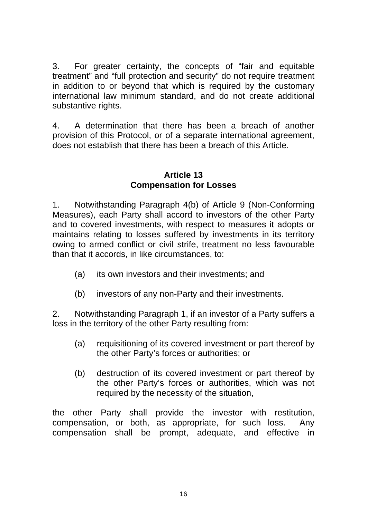3. For greater certainty, the concepts of "fair and equitable treatment" and "full protection and security" do not require treatment in addition to or beyond that which is required by the customary international law minimum standard, and do not create additional substantive rights.

4. A determination that there has been a breach of another provision of this Protocol, or of a separate international agreement, does not establish that there has been a breach of this Article.

## **Article 13 Compensation for Losses**

1. Notwithstanding Paragraph 4(b) of Article 9 (Non-Conforming Measures), each Party shall accord to investors of the other Party and to covered investments, with respect to measures it adopts or maintains relating to losses suffered by investments in its territory owing to armed conflict or civil strife, treatment no less favourable than that it accords, in like circumstances, to:

- (a) its own investors and their investments; and
- (b) investors of any non-Party and their investments.

2. Notwithstanding Paragraph 1, if an investor of a Party suffers a loss in the territory of the other Party resulting from:

- (a) requisitioning of its covered investment or part thereof by the other Party's forces or authorities; or
- (b) destruction of its covered investment or part thereof by the other Party's forces or authorities, which was not required by the necessity of the situation,

the other Party shall provide the investor with restitution, compensation, or both, as appropriate, for such loss. Any compensation shall be prompt, adequate, and effective in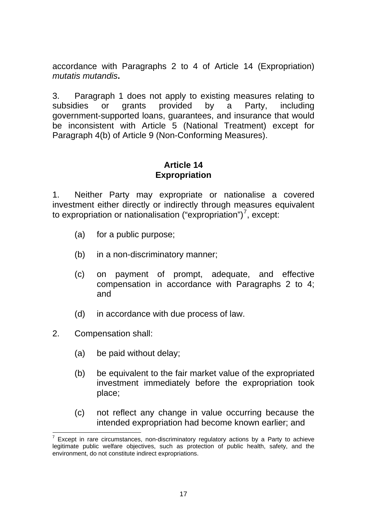accordance with Paragraphs 2 to 4 of Article 14 (Expropriation) *mutatis mutandis***.** 

3.Paragraph 1 does not apply to existing measures relating to subsidies or grants provided by a Party, including government-supported loans, guarantees, and insurance that would be inconsistent with Article 5 (National Treatment) except for Paragraph 4(b) of Article 9 (Non-Conforming Measures).

## **Article 14 Expropriation**

1. Neither Party may expropriate or nationalise a covered investment either directly or indirectly through measures equivalent to expropriation or nationalisation ("expropriation")<sup>[7](#page-16-0)</sup>, except:

- (a) for a public purpose;
- (b) in a non-discriminatory manner;
- (c) on payment of prompt, adequate, and effective compensation in accordance with Paragraphs 2 to 4; and
- (d) in accordance with due process of law.
- 2. Compensation shall:
	- (a) be paid without delay;
	- (b) be equivalent to the fair market value of the expropriated investment immediately before the expropriation took place;
	- (c) not reflect any change in value occurring because the intended expropriation had become known earlier; and

<span id="page-16-0"></span> $7$  Except in rare circumstances, non-discriminatory regulatory actions by a Party to achieve legitimate public welfare objectives, such as protection of public health, safety, and the environment, do not constitute indirect expropriations.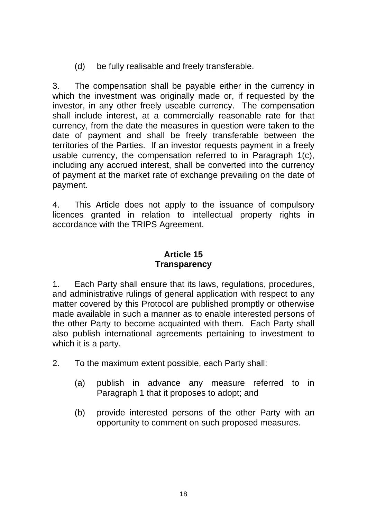(d) be fully realisable and freely transferable.

3.The compensation shall be payable either in the currency in which the investment was originally made or, if requested by the investor, in any other freely useable currency. The compensation shall include interest, at a commercially reasonable rate for that currency, from the date the measures in question were taken to the date of payment and shall be freely transferable between the territories of the Parties. If an investor requests payment in a freely usable currency, the compensation referred to in Paragraph 1(c), including any accrued interest, shall be converted into the currency of payment at the market rate of exchange prevailing on the date of payment.

4. This Article does not apply to the issuance of compulsory licences granted in relation to intellectual property rights in accordance with the TRIPS Agreement.

## **Article 15 Transparency**

1. Each Party shall ensure that its laws, regulations, procedures, and administrative rulings of general application with respect to any matter covered by this Protocol are published promptly or otherwise made available in such a manner as to enable interested persons of the other Party to become acquainted with them. Each Party shall also publish international agreements pertaining to investment to which it is a party.

- 2. To the maximum extent possible, each Party shall:
	- (a) publish in advance any measure referred to in Paragraph 1 that it proposes to adopt; and
	- (b) provide interested persons of the other Party with an opportunity to comment on such proposed measures.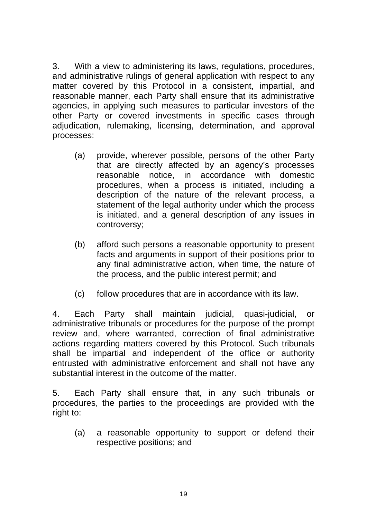3. With a view to administering its laws, regulations, procedures, and administrative rulings of general application with respect to any matter covered by this Protocol in a consistent, impartial, and reasonable manner, each Party shall ensure that its administrative agencies, in applying such measures to particular investors of the other Party or covered investments in specific cases through adjudication, rulemaking, licensing, determination, and approval processes:

- (a) provide, wherever possible, persons of the other Party that are directly affected by an agency's processes reasonable notice, in accordance with domestic procedures, when a process is initiated, including a description of the nature of the relevant process, a statement of the legal authority under which the process is initiated, and a general description of any issues in controversy;
- (b) afford such persons a reasonable opportunity to present facts and arguments in support of their positions prior to any final administrative action, when time, the nature of the process, and the public interest permit; and
- (c) follow procedures that are in accordance with its law.

4. Each Party shall maintain judicial, quasi-judicial, or administrative tribunals or procedures for the purpose of the prompt review and, where warranted, correction of final administrative actions regarding matters covered by this Protocol. Such tribunals shall be impartial and independent of the office or authority entrusted with administrative enforcement and shall not have any substantial interest in the outcome of the matter.

5. Each Party shall ensure that, in any such tribunals or procedures, the parties to the proceedings are provided with the right to:

(a) a reasonable opportunity to support or defend their respective positions; and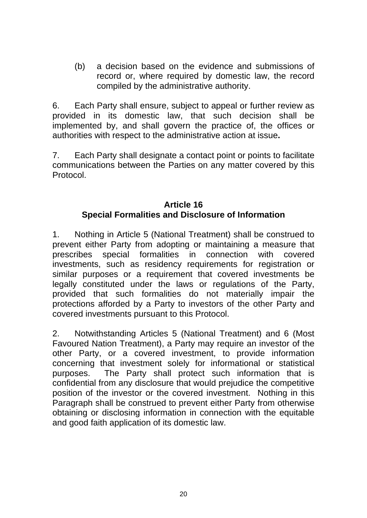(b) a decision based on the evidence and submissions of record or, where required by domestic law, the record compiled by the administrative authority.

6. Each Party shall ensure, subject to appeal or further review as provided in its domestic law, that such decision shall be implemented by, and shall govern the practice of, the offices or authorities with respect to the administrative action at issue**.** 

7. Each Party shall designate a contact point or points to facilitate communications between the Parties on any matter covered by this Protocol.

# **Article 16 Special Formalities and Disclosure of Information**

1. Nothing in Article 5 (National Treatment) shall be construed to prevent either Party from adopting or maintaining a measure that prescribes special formalities in connection with covered investments, such as residency requirements for registration or similar purposes or a requirement that covered investments be legally constituted under the laws or regulations of the Party, provided that such formalities do not materially impair the protections afforded by a Party to investors of the other Party and covered investments pursuant to this Protocol.

2. Notwithstanding Articles 5 (National Treatment) and 6 (Most Favoured Nation Treatment), a Party may require an investor of the other Party, or a covered investment, to provide information concerning that investment solely for informational or statistical purposes. The Party shall protect such information that is confidential from any disclosure that would prejudice the competitive position of the investor or the covered investment. Nothing in this Paragraph shall be construed to prevent either Party from otherwise obtaining or disclosing information in connection with the equitable and good faith application of its domestic law.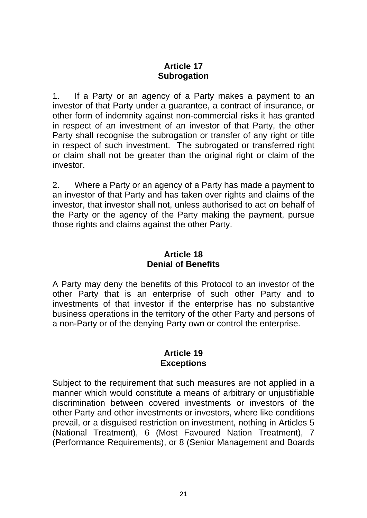# **Article 17 Subrogation**

1. If a Party or an agency of a Party makes a payment to an investor of that Party under a guarantee, a contract of insurance, or other form of indemnity against non-commercial risks it has granted in respect of an investment of an investor of that Party, the other Party shall recognise the subrogation or transfer of any right or title in respect of such investment. The subrogated or transferred right or claim shall not be greater than the original right or claim of the investor.

2. Where a Party or an agency of a Party has made a payment to an investor of that Party and has taken over rights and claims of the investor, that investor shall not, unless authorised to act on behalf of the Party or the agency of the Party making the payment, pursue those rights and claims against the other Party.

## **Article 18 Denial of Benefits**

A Party may deny the benefits of this Protocol to an investor of the other Party that is an enterprise of such other Party and to investments of that investor if the enterprise has no substantive business operations in the territory of the other Party and persons of a non-Party or of the denying Party own or control the enterprise.

## **Article 19 Exceptions**

Subject to the requirement that such measures are not applied in a manner which would constitute a means of arbitrary or unjustifiable discrimination between covered investments or investors of the other Party and other investments or investors, where like conditions prevail, or a disguised restriction on investment, nothing in Articles 5 (National Treatment), 6 (Most Favoured Nation Treatment), 7 (Performance Requirements), or 8 (Senior Management and Boards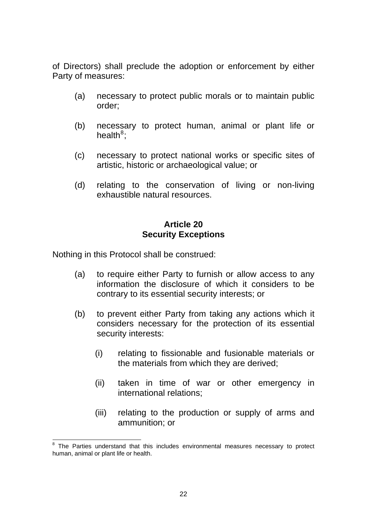of Directors) shall preclude the adoption or enforcement by either Party of measures:

- (a) necessary to protect public morals or to maintain public order;
- (b) necessary to protect human, animal or plant life or health<sup>[8](#page-21-0)</sup>;
- (c) necessary to protect national works or specific sites of artistic, historic or archaeological value; or
- (d) relating to the conservation of living or non-living exhaustible natural resources.

## **Article 20 Security Exceptions**

Nothing in this Protocol shall be construed:

- (a) to require either Party to furnish or allow access to any information the disclosure of which it considers to be contrary to its essential security interests; or
- (b) to prevent either Party from taking any actions which it considers necessary for the protection of its essential security interests:
	- (i) relating to fissionable and fusionable materials or the materials from which they are derived;
	- (ii) taken in time of war or other emergency in international relations;
	- (iii) relating to the production or supply of arms and ammunition; or

<span id="page-21-0"></span> 8 The Parties understand that this includes environmental measures necessary to protect human, animal or plant life or health.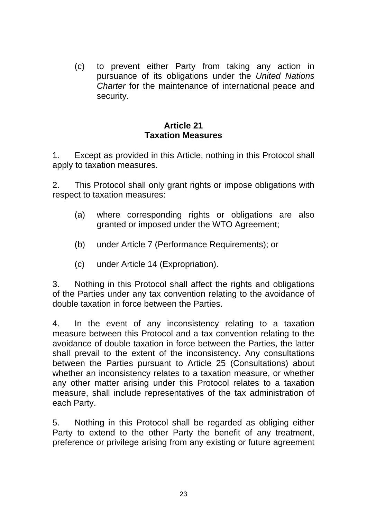(c) to prevent either Party from taking any action in pursuance of its obligations under the *United Nations Charter* for the maintenance of international peace and security.

## **Article 21 Taxation Measures**

1. Except as provided in this Article, nothing in this Protocol shall apply to taxation measures.

2. This Protocol shall only grant rights or impose obligations with respect to taxation measures:

- (a) where corresponding rights or obligations are also granted or imposed under the WTO Agreement;
- (b) under Article 7 (Performance Requirements); or
- (c) under Article 14 (Expropriation).

3. Nothing in this Protocol shall affect the rights and obligations of the Parties under any tax convention relating to the avoidance of double taxation in force between the Parties.

4. In the event of any inconsistency relating to a taxation measure between this Protocol and a tax convention relating to the avoidance of double taxation in force between the Parties, the latter shall prevail to the extent of the inconsistency. Any consultations between the Parties pursuant to Article 25 (Consultations) about whether an inconsistency relates to a taxation measure, or whether any other matter arising under this Protocol relates to a taxation measure, shall include representatives of the tax administration of each Party.

5. Nothing in this Protocol shall be regarded as obliging either Party to extend to the other Party the benefit of any treatment, preference or privilege arising from any existing or future agreement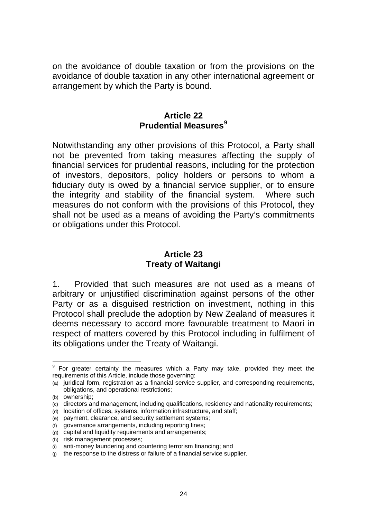on the avoidance of double taxation or from the provisions on the avoidance of double taxation in any other international agreement or arrangement by which the Party is bound.

### **Article 22 Prudential Measures[9](#page-23-0)**

Notwithstanding any other provisions of this Protocol, a Party shall not be prevented from taking measures affecting the supply of financial services for prudential reasons, including for the protection of investors, depositors, policy holders or persons to whom a fiduciary duty is owed by a financial service supplier, or to ensure the integrity and stability of the financial system. Where such measures do not conform with the provisions of this Protocol, they shall not be used as a means of avoiding the Party's commitments or obligations under this Protocol.

## **Article 23 Treaty of Waitangi**

1. Provided that such measures are not used as a means of arbitrary or unjustified discrimination against persons of the other Party or as a disguised restriction on investment, nothing in this Protocol shall preclude the adoption by New Zealand of measures it deems necessary to accord more favourable treatment to Maori in respect of matters covered by this Protocol including in fulfilment of its obligations under the Treaty of Waitangi.

<span id="page-23-0"></span> 9 For greater certainty the measures which a Party may take, provided they meet the requirements of this Article, include those governing:

<sup>(</sup>a) juridical form, registration as a financial service supplier, and corresponding requirements, obligations, and operational restrictions;

<sup>(</sup>b) ownership;

<sup>(</sup>c) directors and management, including qualifications, residency and nationality requirements;

<sup>(</sup>d) location of offices, systems, information infrastructure, and staff;

<sup>(</sup>e) payment, clearance, and security settlement systems;

<sup>(</sup>f) governance arrangements, including reporting lines;

<sup>(</sup>g) capital and liquidity requirements and arrangements;

<sup>(</sup>h) risk management processes;

<sup>(</sup>i) anti-money laundering and countering terrorism financing; and

<sup>(</sup>j) the response to the distress or failure of a financial service supplier.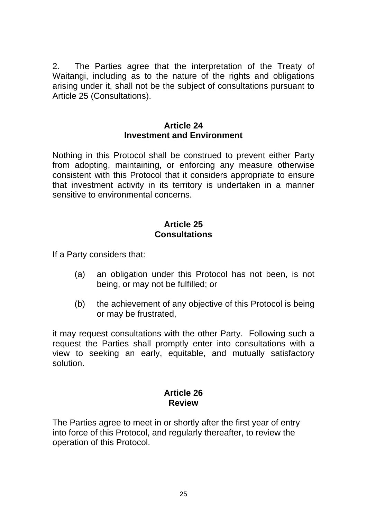2. The Parties agree that the interpretation of the Treaty of Waitangi, including as to the nature of the rights and obligations arising under it, shall not be the subject of consultations pursuant to Article 25 (Consultations).

#### **Article 24 Investment and Environment**

Nothing in this Protocol shall be construed to prevent either Party from adopting, maintaining, or enforcing any measure otherwise consistent with this Protocol that it considers appropriate to ensure that investment activity in its territory is undertaken in a manner sensitive to environmental concerns.

## **Article 25 Consultations**

If a Party considers that:

- (a) an obligation under this Protocol has not been, is not being, or may not be fulfilled; or
- (b) the achievement of any objective of this Protocol is being or may be frustrated,

it may request consultations with the other Party. Following such a request the Parties shall promptly enter into consultations with a view to seeking an early, equitable, and mutually satisfactory solution.

# **Article 26 Review**

The Parties agree to meet in or shortly after the first year of entry into force of this Protocol, and regularly thereafter, to review the operation of this Protocol.